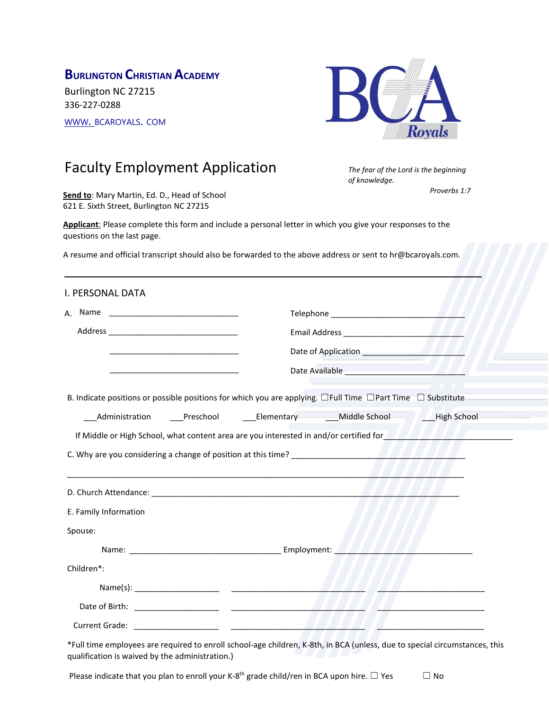# **BURLINGTON CHRISTIAN ACADEMY**

Burlington NC 27215 336-227-0288 [WWW](http://www/). BCAROYALS. COM



*of knowledge.*

*The fear of the Lord is the beginning* 

*Proverbs 1:7*

# Faculty Employment Application

**Send to**: Mary Martin, Ed. D., Head of School 621 E. Sixth Street, Burlington NC 27215

**Applicant**: Please complete this form and include a personal letter in which you give your responses to the questions on the last page.

A resume and official transcript should also be forwarded to the above address or sent to hr@bcaroyals.com.

\_\_\_\_\_\_\_\_\_\_\_\_\_\_\_\_\_\_\_\_\_\_\_\_\_\_\_\_\_\_\_\_\_\_\_\_\_\_\_\_\_\_\_\_\_\_\_\_\_\_\_\_\_\_\_\_\_\_\_\_\_\_\_\_\_\_\_\_\_\_\_\_\_\_\_\_\_\_\_\_\_\_\_\_\_

| I. PERSONAL DATA                                                                                                            |  |  |  |                                                                                                                         |  |
|-----------------------------------------------------------------------------------------------------------------------------|--|--|--|-------------------------------------------------------------------------------------------------------------------------|--|
|                                                                                                                             |  |  |  |                                                                                                                         |  |
|                                                                                                                             |  |  |  |                                                                                                                         |  |
|                                                                                                                             |  |  |  |                                                                                                                         |  |
|                                                                                                                             |  |  |  |                                                                                                                         |  |
| B. Indicate positions or possible positions for which you are applying. $\Box$ Full Time $\Box$ Part Time $\Box$ Substitute |  |  |  |                                                                                                                         |  |
|                                                                                                                             |  |  |  |                                                                                                                         |  |
|                                                                                                                             |  |  |  | If Middle or High School, what content area are you interested in and/or certified for <b>TATA TATA TATA TATA CONTA</b> |  |
|                                                                                                                             |  |  |  |                                                                                                                         |  |
|                                                                                                                             |  |  |  |                                                                                                                         |  |
| E. Family Information                                                                                                       |  |  |  |                                                                                                                         |  |
| Spouse:                                                                                                                     |  |  |  |                                                                                                                         |  |
|                                                                                                                             |  |  |  |                                                                                                                         |  |
| Children*:                                                                                                                  |  |  |  |                                                                                                                         |  |
|                                                                                                                             |  |  |  |                                                                                                                         |  |
|                                                                                                                             |  |  |  |                                                                                                                         |  |
|                                                                                                                             |  |  |  |                                                                                                                         |  |
|                                                                                                                             |  |  |  |                                                                                                                         |  |

\*Full time employees are required to enroll school-age children, K-8th, in BCA (unless, due to special circumstances, this qualification is waived by the administration.)

Please indicate that you plan to enroll your K-8<sup>th</sup> grade child/ren in BCA upon hire.  $\Box$  Yes  $\Box$  No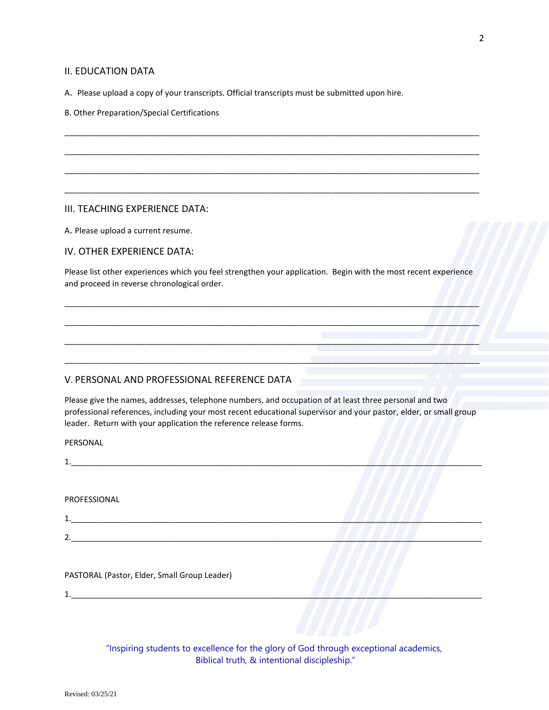#### II. EDUCATION DATA

A. Please upload a copy of your transcripts. Official transcripts must be submitted upon hire.

B. Other Preparation/Special Certifications

#### III. TEACHING EXPERIENCE DATA:

A. Please upload a current resume.

IV. OTHER EXPERIENCE DATA:

Please list other experiences which you feel strengthen your application. Begin with the most recent experience and proceed in reverse chronological order.

\_\_\_\_\_\_\_\_\_\_\_\_\_\_\_\_\_\_\_\_\_\_\_\_\_\_\_\_\_\_\_\_\_\_\_\_\_\_\_\_\_\_\_\_\_\_\_\_\_\_\_\_\_\_\_\_\_\_\_\_\_\_\_\_\_\_\_\_\_\_\_\_\_\_\_\_\_\_\_\_\_\_\_\_\_\_\_\_\_\_\_\_\_

\_\_\_\_\_\_\_\_\_\_\_\_\_\_\_\_\_\_\_\_\_\_\_\_\_\_\_\_\_\_\_\_\_\_\_\_\_\_\_\_\_\_\_\_\_\_\_\_\_\_\_\_\_\_\_\_\_\_\_\_\_\_\_\_\_\_\_\_\_\_\_\_\_\_\_\_\_\_\_\_\_\_\_\_\_\_\_\_\_\_\_\_\_

\_\_\_\_\_\_\_\_\_\_\_\_\_\_\_\_\_\_\_\_\_\_\_\_\_\_\_\_\_\_\_\_\_\_\_\_\_\_\_\_\_\_\_\_\_\_\_\_\_\_\_\_\_\_\_\_\_\_\_\_\_\_\_\_\_\_\_\_\_\_\_\_\_\_\_\_\_\_\_\_\_\_\_\_\_\_\_\_\_\_\_\_\_

\_\_\_\_\_\_\_\_\_\_\_\_\_\_\_\_\_\_\_\_\_\_\_\_\_\_\_\_\_\_\_\_\_\_\_\_\_\_\_\_\_\_\_\_\_\_\_\_\_\_\_\_\_\_\_\_\_\_\_\_\_\_\_\_\_\_\_\_\_\_\_\_\_\_\_\_\_\_\_\_\_\_\_\_\_\_\_\_\_\_\_\_\_

\_\_\_\_\_\_\_\_\_\_\_\_\_\_\_\_\_\_\_\_\_\_\_\_\_\_\_\_\_\_\_\_\_\_\_\_\_\_\_\_\_\_\_\_\_\_\_\_\_\_\_\_\_\_\_\_\_\_\_\_\_\_\_\_\_\_\_\_\_\_\_\_\_\_\_\_\_\_\_\_\_\_\_\_\_\_\_\_\_\_\_\_\_

\_\_\_\_\_\_\_\_\_\_\_\_\_\_\_\_\_\_\_\_\_\_\_\_\_\_\_\_\_\_\_\_\_\_\_\_\_\_\_\_\_\_\_\_\_\_\_\_\_\_\_\_\_\_\_\_\_\_\_\_\_\_\_\_\_\_\_\_\_\_\_\_\_\_\_\_\_\_\_\_\_\_\_\_\_\_\_\_\_\_\_\_\_

\_\_\_\_\_\_\_\_\_\_\_\_\_\_\_\_\_\_\_\_\_\_\_\_\_\_\_\_\_\_\_\_\_\_\_\_\_\_\_\_\_\_\_\_\_\_\_\_\_\_\_\_\_\_\_\_\_\_\_\_\_\_\_\_\_\_\_\_\_\_\_\_\_\_\_\_\_\_\_\_\_\_\_\_\_\_\_\_\_\_\_\_\_

\_\_\_\_\_\_\_\_\_\_\_\_\_\_\_\_\_\_\_\_\_\_\_\_\_\_\_\_\_\_\_\_\_\_\_\_\_\_\_\_\_\_\_\_\_\_\_\_\_\_\_\_\_\_\_\_\_\_\_\_\_\_\_\_\_\_\_\_\_\_\_\_\_\_\_\_\_\_\_\_\_\_\_\_\_\_\_\_\_\_\_\_\_

#### V. PERSONAL AND PROFESSIONAL REFERENCE DATA

Please give the names, addresses, telephone numbers, and occupation of at least three personal and two professional references, including your most recent educational supervisor and your pastor, elder, or small group leader. Return with your application the reference release forms.

PERSONAL

1.\_\_\_\_\_\_\_\_\_\_\_\_\_\_\_\_\_\_\_\_\_\_\_\_\_\_\_\_\_\_\_\_\_\_\_\_\_\_\_\_\_\_\_\_\_\_\_\_\_\_\_\_\_\_\_\_\_\_\_\_\_\_\_\_\_\_\_\_\_\_\_\_\_\_\_\_\_\_\_\_\_\_\_\_\_\_\_\_\_\_\_\_

PROFESSIONAL

1.\_\_\_\_\_\_\_\_\_\_\_\_\_\_\_\_\_\_\_\_\_\_\_\_\_\_\_\_\_\_\_\_\_\_\_\_\_\_\_\_\_\_\_\_\_\_\_\_\_\_\_\_\_\_\_\_\_\_\_\_\_\_\_\_\_\_\_\_\_\_\_\_\_\_\_\_\_\_\_\_\_\_\_\_\_\_\_\_\_\_\_\_

2.\_\_\_\_\_\_\_\_\_\_\_\_\_\_\_\_\_\_\_\_\_\_\_\_\_\_\_\_\_\_\_\_\_\_\_\_\_\_\_\_\_\_\_\_\_\_\_\_\_\_\_\_\_\_\_\_\_\_\_\_\_\_\_\_\_\_\_\_\_\_\_\_\_\_\_\_\_\_\_\_\_\_\_\_\_\_\_\_\_\_\_\_

PASTORAL (Pastor, Elder, Small Group Leader)

1.\_\_\_\_\_\_\_\_\_\_\_\_\_\_\_\_\_\_\_\_\_\_\_\_\_\_\_\_\_\_\_\_\_\_\_\_\_\_\_\_\_\_\_\_\_\_\_\_\_\_\_\_\_\_\_\_\_\_\_\_\_\_\_\_\_\_\_\_\_\_\_\_\_\_\_\_\_\_\_\_\_\_\_\_\_\_\_\_\_\_\_\_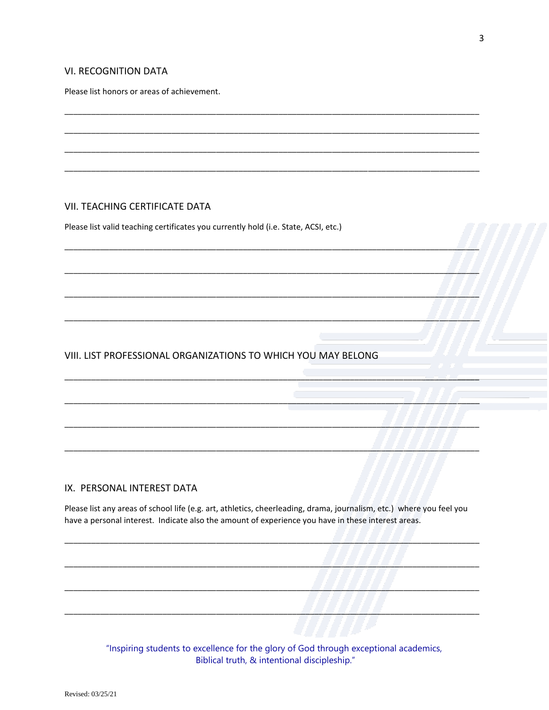### **VI. RECOGNITION DATA**

Please list honors or areas of achievement.

## VII. TEACHING CERTIFICATE DATA

Please list valid teaching certificates you currently hold (i.e. State, ACSI, etc.)

## VIII. LIST PROFESSIONAL ORGANIZATIONS TO WHICH YOU MAY BELONG

#### IX. PERSONAL INTEREST DATA

Please list any areas of school life (e.g. art, athletics, cheerleading, drama, journalism, etc.) where you feel you have a personal interest. Indicate also the amount of experience you have in these interest areas.

> "Inspiring students to excellence for the glory of God through exceptional academics, Biblical truth, & intentional discipleship."

 $\sqrt{2}$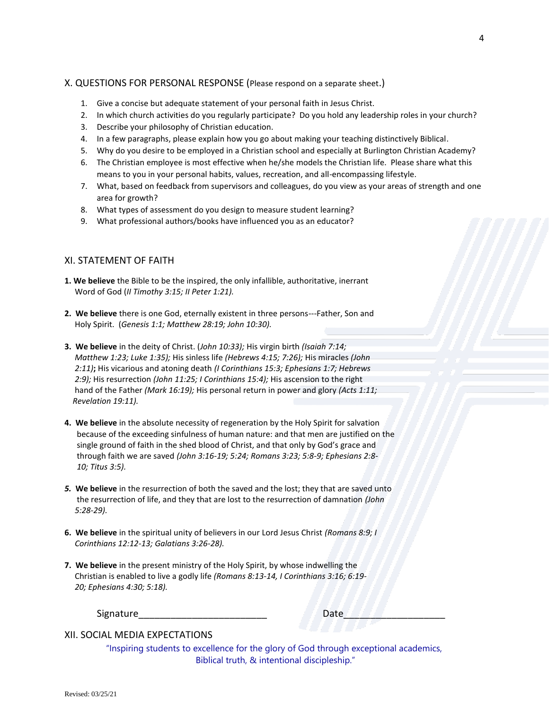#### X. QUESTIONS FOR PERSONAL RESPONSE (Please respond on a separate sheet.)

- 1. Give a concise but adequate statement of your personal faith in Jesus Christ.
- 2. In which church activities do you regularly participate? Do you hold any leadership roles in your church?
- 3. Describe your philosophy of Christian education.
- 4. In a few paragraphs, please explain how you go about making your teaching distinctively Biblical.
- 5. Why do you desire to be employed in a Christian school and especially at Burlington Christian Academy?
- 6. The Christian employee is most effective when he/she models the Christian life. Please share what this means to you in your personal habits, values, recreation, and all-encompassing lifestyle.
- 7. What, based on feedback from supervisors and colleagues, do you view as your areas of strength and one area for growth?
- 8. What types of assessment do you design to measure student learning?
- 9. What professional authors/books have influenced you as an educator?

## XI. STATEMENT OF FAITH

- **1. We believe** the Bible to be the inspired, the only infallible, authoritative, inerrant Word of God (*II Timothy 3:15; II Peter 1:21).*
- **2. We believe** there is one God, eternally existent in three persons---Father, Son and Holy Spirit. (*Genesis 1:1; Matthew 28:19; John 10:30).*
- **3. We believe** in the deity of Christ. (*John 10:33);* His virgin birth *(Isaiah 7:14; Matthew 1:23; Luke 1:35);* His sinless life *(Hebrews 4:15; 7:26);* His miracles *(John 2:11)***;** His vicarious and atoning death *(I Corinthians 15:3; Ephesians 1:7; Hebrews 2:9);* His resurrection *(John 11:25; I Corinthians 15:4);* His ascension to the right hand of the Father *(Mark 16:19);* His personal return in power and glory *(Acts 1:11; Revelation 19:11).*
- **4. We believe** in the absolute necessity of regeneration by the Holy Spirit for salvation because of the exceeding sinfulness of human nature: and that men are justified on the single ground of faith in the shed blood of Christ, and that only by God's grace and through faith we are saved *(John 3:16-19; 5:24; Romans 3:23; 5:8-9; Ephesians 2:8- 10; Titus 3:5).*
- *5.* **We believe** in the resurrection of both the saved and the lost; they that are saved unto the resurrection of life, and they that are lost to the resurrection of damnation *(John 5:28-29).*
- **6. We believe** in the spiritual unity of believers in our Lord Jesus Christ *(Romans 8:9; I Corinthians 12:12-13; Galatians 3:26-28).*
- **7. We believe** in the present ministry of the Holy Spirit, by whose indwelling the Christian is enabled to live a godly life *(Romans 8:13-14, I Corinthians 3:16; 6:19- 20; Ephesians 4:30; 5:18).*

Signature\_\_\_\_\_\_\_\_\_\_\_\_\_\_\_\_\_\_\_\_\_\_\_\_ Date\_\_\_\_\_\_\_\_\_\_\_\_\_\_\_\_\_\_\_

XII. SOCIAL MEDIA EXPECTATIONS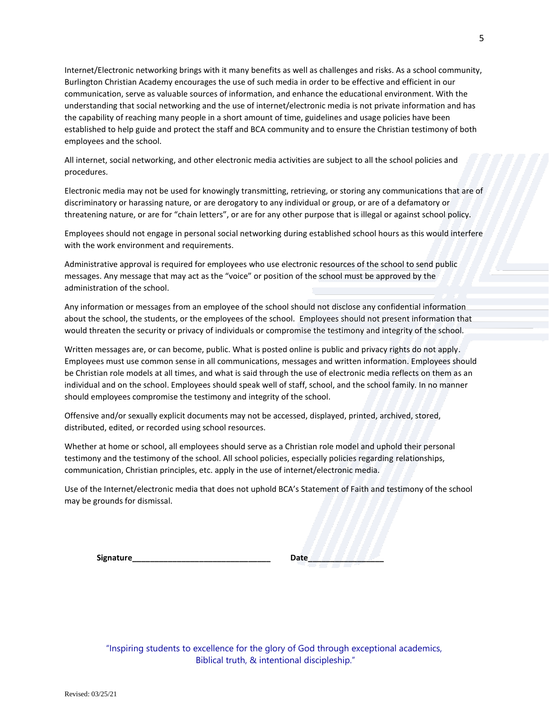Internet/Electronic networking brings with it many benefits as well as challenges and risks. As a school community, Burlington Christian Academy encourages the use of such media in order to be effective and efficient in our communication, serve as valuable sources of information, and enhance the educational environment. With the understanding that social networking and the use of internet/electronic media is not private information and has the capability of reaching many people in a short amount of time, guidelines and usage policies have been established to help guide and protect the staff and BCA community and to ensure the Christian testimony of both employees and the school.

All internet, social networking, and other electronic media activities are subject to all the school policies and procedures.

Electronic media may not be used for knowingly transmitting, retrieving, or storing any communications that are of discriminatory or harassing nature, or are derogatory to any individual or group, or are of a defamatory or threatening nature, or are for "chain letters", or are for any other purpose that is illegal or against school policy.

Employees should not engage in personal social networking during established school hours as this would interfere with the work environment and requirements.

Administrative approval is required for employees who use electronic resources of the school to send public messages. Any message that may act as the "voice" or position of the school must be approved by the administration of the school.

Any information or messages from an employee of the school should not disclose any confidential information about the school, the students, or the employees of the school. Employees should not present information that would threaten the security or privacy of individuals or compromise the testimony and integrity of the school.

Written messages are, or can become, public. What is posted online is public and privacy rights do not apply. Employees must use common sense in all communications, messages and written information. Employees should be Christian role models at all times, and what is said through the use of electronic media reflects on them as an individual and on the school. Employees should speak well of staff, school, and the school family. In no manner should employees compromise the testimony and integrity of the school.

Offensive and/or sexually explicit documents may not be accessed, displayed, printed, archived, stored, distributed, edited, or recorded using school resources.

Whether at home or school, all employees should serve as a Christian role model and uphold their personal testimony and the testimony of the school. All school policies, especially policies regarding relationships, communication, Christian principles, etc. apply in the use of internet/electronic media.

Use of the Internet/electronic media that does not uphold BCA's Statement of Faith and testimony of the school may be grounds for dismissal.

| Signature_ | Date |
|------------|------|
|------------|------|